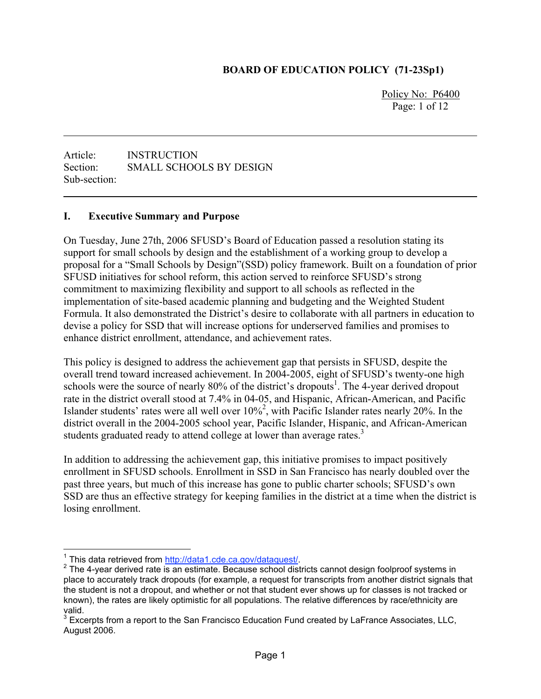#### **BOARD OF EDUCATION POLICY (71-23Sp1)**

Policy No: P6400 Page: 1 of 12

Article: INSTRUCTION Section: SMALL SCHOOLS BY DESIGN Sub-section:

#### **I. Executive Summary and Purpose**

On Tuesday, June 27th, 2006 SFUSD's Board of Education passed a resolution stating its support for small schools by design and the establishment of a working group to develop a proposal for a "Small Schools by Design"(SSD) policy framework. Built on a foundation of prior SFUSD initiatives for school reform, this action served to reinforce SFUSD's strong commitment to maximizing flexibility and support to all schools as reflected in the implementation of site-based academic planning and budgeting and the Weighted Student Formula. It also demonstrated the District's desire to collaborate with all partners in education to devise a policy for SSD that will increase options for underserved families and promises to enhance district enrollment, attendance, and achievement rates.

This policy is designed to address the achievement gap that persists in SFUSD, despite the overall trend toward increased achievement. In 2004-2005, eight of SFUSD's twenty-one high schools were the source of nearly 80% of the district's dropouts<sup>1</sup>. The 4-year derived dropout rate in the district overall stood at 7.4% in 04-05, and Hispanic, African-American, and Pacific Islander students' rates were all well over  $10\%^2$ , with Pacific Islander rates nearly 20%. In the district overall in the 2004-2005 school year, Pacific Islander, Hispanic, and African-American students graduated ready to attend college at lower than average rates.<sup>3</sup>

In addition to addressing the achievement gap, this initiative promises to impact positively enrollment in SFUSD schools. Enrollment in SSD in San Francisco has nearly doubled over the past three years, but much of this increase has gone to public charter schools; SFUSD's own SSD are thus an effective strategy for keeping families in the district at a time when the district is losing enrollment.

<sup>&</sup>lt;sup>1</sup> This data retrieved from http://data1.cde.ca.gov/dataquest/.

<sup>&</sup>lt;sup>'</sup> This data retrieved from <u>http://data1.cde.ca.gov/dataquest/</u>.<br><sup>2</sup> The 4-year derived rate is an estimate. Because school districts cannot design foolproof systems in . place to accurately track dropouts (for example, a request for transcripts from another district signals that the student is not a dropout, and whether or not that student ever shows up for classes is not tracked or known), the rates are likely optimistic for all populations. The relative differences by race/ethnicity are valid.

 $^3$  Excerpts from a report to the San Francisco Education Fund created by LaFrance Associates, LLC, August 2006.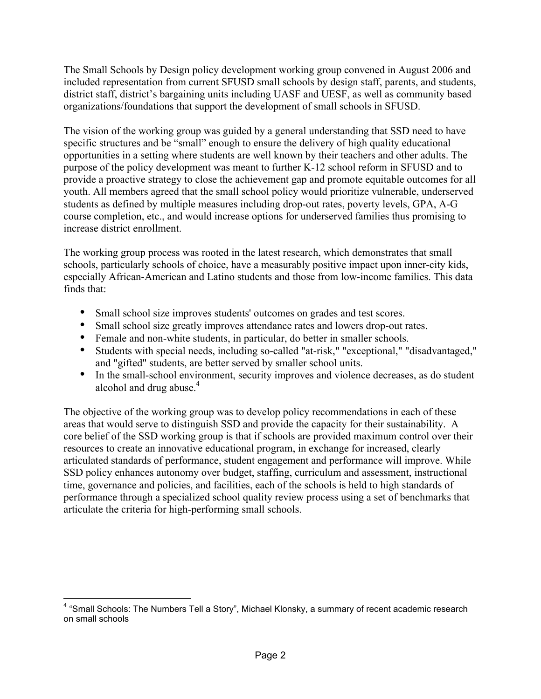The Small Schools by Design policy development working group convened in August 2006 and included representation from current SFUSD small schools by design staff, parents, and students, district staff, district's bargaining units including UASF and UESF, as well as community based organizations/foundations that support the development of small schools in SFUSD.

The vision of the working group was guided by a general understanding that SSD need to have specific structures and be "small" enough to ensure the delivery of high quality educational opportunities in a setting where students are well known by their teachers and other adults. The purpose of the policy development was meant to further K-12 school reform in SFUSD and to provide a proactive strategy to close the achievement gap and promote equitable outcomes for all youth. All members agreed that the small school policy would prioritize vulnerable, underserved students as defined by multiple measures including drop-out rates, poverty levels, GPA, A-G course completion, etc., and would increase options for underserved families thus promising to increase district enrollment.

The working group process was rooted in the latest research, which demonstrates that small schools, particularly schools of choice, have a measurably positive impact upon inner-city kids, especially African-American and Latino students and those from low-income families. This data finds that:

- Small school size improves students' outcomes on grades and test scores.
- Small school size greatly improves attendance rates and lowers drop-out rates.
- Female and non-white students, in particular, do better in smaller schools.
- Students with special needs, including so-called "at-risk," "exceptional," "disadvantaged," and "gifted" students, are better served by smaller school units.
- In the small-school environment, security improves and violence decreases, as do student alcohol and drug abuse.<sup>4</sup>

The objective of the working group was to develop policy recommendations in each of these areas that would serve to distinguish SSD and provide the capacity for their sustainability. A core belief of the SSD working group is that if schools are provided maximum control over their resources to create an innovative educational program, in exchange for increased, clearly articulated standards of performance, student engagement and performance will improve. While SSD policy enhances autonomy over budget, staffing, curriculum and assessment, instructional time, governance and policies, and facilities, each of the schools is held to high standards of performance through a specialized school quality review process using a set of benchmarks that articulate the criteria for high-performing small schools.

<sup>————————————————————&</sup>lt;br><sup>4</sup> "Small Schools: The Numbers Tell a Story", Michael Klonsky, a summary of recent academic research on small schools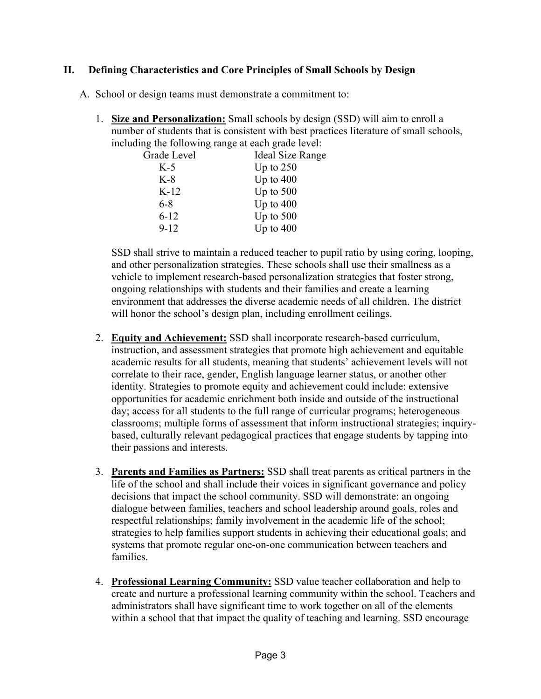#### **II. Defining Characteristics and Core Principles of Small Schools by Design**

- A. School or design teams must demonstrate a commitment to:
	- 1. **Size and Personalization:** Small schools by design (SSD) will aim to enroll a number of students that is consistent with best practices literature of small schools, including the following range at each grade level:

| Grade Level | Ideal Size Range |
|-------------|------------------|
| $K-5$       | Up to $250$      |
| K-8         | Up to $400$      |
| $K-12$      | Up to $500$      |
| 6-8         | Up to $400$      |
| $6 - 12$    | Up to $500$      |
| $9 - 12$    | Up to $400$      |
|             |                  |

SSD shall strive to maintain a reduced teacher to pupil ratio by using coring, looping, and other personalization strategies. These schools shall use their smallness as a vehicle to implement research-based personalization strategies that foster strong, ongoing relationships with students and their families and create a learning environment that addresses the diverse academic needs of all children. The district will honor the school's design plan, including enrollment ceilings.

- 2. **Equity and Achievement:** SSD shall incorporate research-based curriculum, instruction, and assessment strategies that promote high achievement and equitable academic results for all students, meaning that students' achievement levels will not correlate to their race, gender, English language learner status, or another other identity. Strategies to promote equity and achievement could include: extensive opportunities for academic enrichment both inside and outside of the instructional day; access for all students to the full range of curricular programs; heterogeneous classrooms; multiple forms of assessment that inform instructional strategies; inquirybased, culturally relevant pedagogical practices that engage students by tapping into their passions and interests.
- 3. **Parents and Families as Partners:** SSD shall treat parents as critical partners in the life of the school and shall include their voices in significant governance and policy decisions that impact the school community. SSD will demonstrate: an ongoing dialogue between families, teachers and school leadership around goals, roles and respectful relationships; family involvement in the academic life of the school; strategies to help families support students in achieving their educational goals; and systems that promote regular one-on-one communication between teachers and families.
- 4. **Professional Learning Community:** SSD value teacher collaboration and help to create and nurture a professional learning community within the school. Teachers and administrators shall have significant time to work together on all of the elements within a school that that impact the quality of teaching and learning. SSD encourage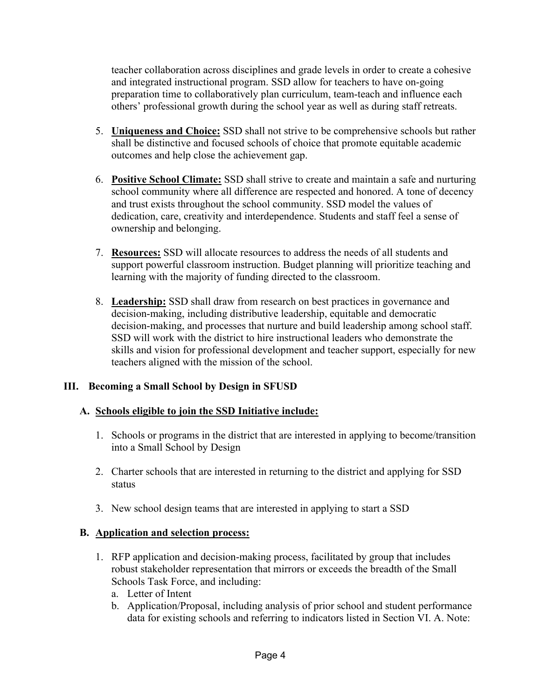teacher collaboration across disciplines and grade levels in order to create a cohesive and integrated instructional program. SSD allow for teachers to have on-going preparation time to collaboratively plan curriculum, team-teach and influence each others' professional growth during the school year as well as during staff retreats.

- 5. **Uniqueness and Choice:** SSD shall not strive to be comprehensive schools but rather shall be distinctive and focused schools of choice that promote equitable academic outcomes and help close the achievement gap.
- 6. **Positive School Climate:** SSD shall strive to create and maintain a safe and nurturing school community where all difference are respected and honored. A tone of decency and trust exists throughout the school community. SSD model the values of dedication, care, creativity and interdependence. Students and staff feel a sense of ownership and belonging.
- 7. **Resources:** SSD will allocate resources to address the needs of all students and support powerful classroom instruction. Budget planning will prioritize teaching and learning with the majority of funding directed to the classroom.
- 8. **Leadership:** SSD shall draw from research on best practices in governance and decision-making, including distributive leadership, equitable and democratic decision-making, and processes that nurture and build leadership among school staff. SSD will work with the district to hire instructional leaders who demonstrate the skills and vision for professional development and teacher support, especially for new teachers aligned with the mission of the school.

# **III. Becoming a Small School by Design in SFUSD**

# **A. Schools eligible to join the SSD Initiative include:**

- 1. Schools or programs in the district that are interested in applying to become/transition into a Small School by Design
- 2. Charter schools that are interested in returning to the district and applying for SSD status
- 3. New school design teams that are interested in applying to start a SSD

# **B. Application and selection process:**

- 1. RFP application and decision-making process, facilitated by group that includes robust stakeholder representation that mirrors or exceeds the breadth of the Small Schools Task Force, and including:
	- a. Letter of Intent
	- b. Application/Proposal, including analysis of prior school and student performance data for existing schools and referring to indicators listed in Section VI. A. Note: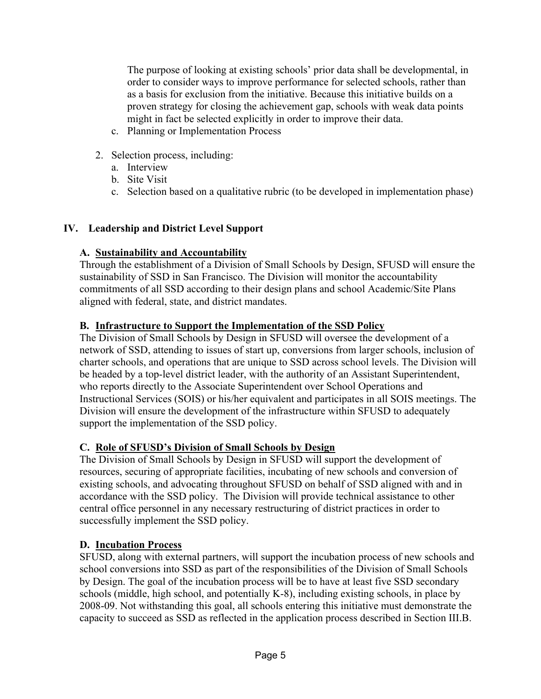The purpose of looking at existing schools' prior data shall be developmental, in order to consider ways to improve performance for selected schools, rather than as a basis for exclusion from the initiative. Because this initiative builds on a proven strategy for closing the achievement gap, schools with weak data points might in fact be selected explicitly in order to improve their data.

- c. Planning or Implementation Process
- 2. Selection process, including:
	- a. Interview
	- b. Site Visit
	- c. Selection based on a qualitative rubric (to be developed in implementation phase)

# **IV. Leadership and District Level Support**

# **A. Sustainability and Accountability**

Through the establishment of a Division of Small Schools by Design, SFUSD will ensure the sustainability of SSD in San Francisco. The Division will monitor the accountability commitments of all SSD according to their design plans and school Academic/Site Plans aligned with federal, state, and district mandates.

# **B. Infrastructure to Support the Implementation of the SSD Policy**

The Division of Small Schools by Design in SFUSD will oversee the development of a network of SSD, attending to issues of start up, conversions from larger schools, inclusion of charter schools, and operations that are unique to SSD across school levels. The Division will be headed by a top-level district leader, with the authority of an Assistant Superintendent, who reports directly to the Associate Superintendent over School Operations and Instructional Services (SOIS) or his/her equivalent and participates in all SOIS meetings. The Division will ensure the development of the infrastructure within SFUSD to adequately support the implementation of the SSD policy.

# **C. Role of SFUSD's Division of Small Schools by Design**

The Division of Small Schools by Design in SFUSD will support the development of resources, securing of appropriate facilities, incubating of new schools and conversion of existing schools, and advocating throughout SFUSD on behalf of SSD aligned with and in accordance with the SSD policy. The Division will provide technical assistance to other central office personnel in any necessary restructuring of district practices in order to successfully implement the SSD policy.

# **D. Incubation Process**

SFUSD, along with external partners, will support the incubation process of new schools and school conversions into SSD as part of the responsibilities of the Division of Small Schools by Design. The goal of the incubation process will be to have at least five SSD secondary schools (middle, high school, and potentially K-8), including existing schools, in place by 2008-09. Not withstanding this goal, all schools entering this initiative must demonstrate the capacity to succeed as SSD as reflected in the application process described in Section III.B.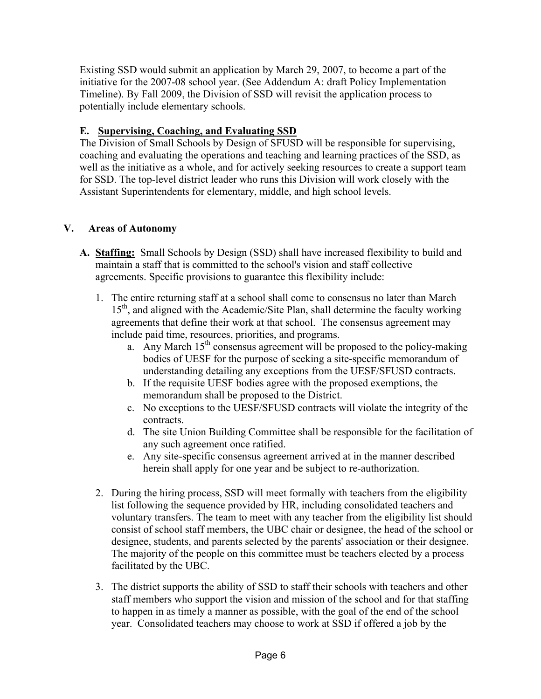Existing SSD would submit an application by March 29, 2007, to become a part of the initiative for the 2007-08 school year. (See Addendum A: draft Policy Implementation Timeline). By Fall 2009, the Division of SSD will revisit the application process to potentially include elementary schools.

# **E. Supervising, Coaching, and Evaluating SSD**

The Division of Small Schools by Design of SFUSD will be responsible for supervising, coaching and evaluating the operations and teaching and learning practices of the SSD, as well as the initiative as a whole, and for actively seeking resources to create a support team for SSD. The top-level district leader who runs this Division will work closely with the Assistant Superintendents for elementary, middle, and high school levels.

# **V. Areas of Autonomy**

- **A. Staffing:** Small Schools by Design (SSD) shall have increased flexibility to build and maintain a staff that is committed to the school's vision and staff collective agreements. Specific provisions to guarantee this flexibility include:
	- 1. The entire returning staff at a school shall come to consensus no later than March 15<sup>th</sup>, and aligned with the Academic/Site Plan, shall determine the faculty working agreements that define their work at that school. The consensus agreement may include paid time, resources, priorities, and programs.
		- a. Any March  $15<sup>th</sup>$  consensus agreement will be proposed to the policy-making bodies of UESF for the purpose of seeking a site-specific memorandum of understanding detailing any exceptions from the UESF/SFUSD contracts.
		- b. If the requisite UESF bodies agree with the proposed exemptions, the memorandum shall be proposed to the District.
		- c. No exceptions to the UESF/SFUSD contracts will violate the integrity of the contracts.
		- d. The site Union Building Committee shall be responsible for the facilitation of any such agreement once ratified.
		- e. Any site-specific consensus agreement arrived at in the manner described herein shall apply for one year and be subject to re-authorization.
	- 2. During the hiring process, SSD will meet formally with teachers from the eligibility list following the sequence provided by HR, including consolidated teachers and voluntary transfers. The team to meet with any teacher from the eligibility list should consist of school staff members, the UBC chair or designee, the head of the school or designee, students, and parents selected by the parents' association or their designee. The majority of the people on this committee must be teachers elected by a process facilitated by the UBC.
	- 3. The district supports the ability of SSD to staff their schools with teachers and other staff members who support the vision and mission of the school and for that staffing to happen in as timely a manner as possible, with the goal of the end of the school year. Consolidated teachers may choose to work at SSD if offered a job by the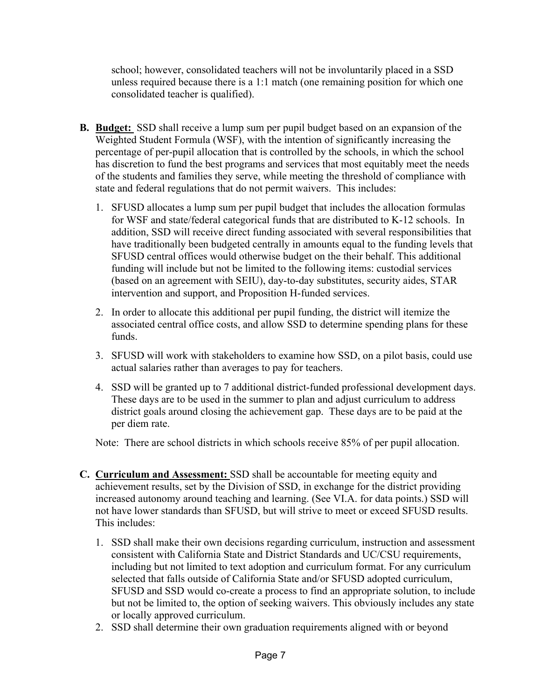school; however, consolidated teachers will not be involuntarily placed in a SSD unless required because there is a 1:1 match (one remaining position for which one consolidated teacher is qualified).

- **B. Budget:** SSD shall receive a lump sum per pupil budget based on an expansion of the Weighted Student Formula (WSF), with the intention of significantly increasing the percentage of per-pupil allocation that is controlled by the schools, in which the school has discretion to fund the best programs and services that most equitably meet the needs of the students and families they serve, while meeting the threshold of compliance with state and federal regulations that do not permit waivers. This includes:
	- 1. SFUSD allocates a lump sum per pupil budget that includes the allocation formulas for WSF and state/federal categorical funds that are distributed to K-12 schools. In addition, SSD will receive direct funding associated with several responsibilities that have traditionally been budgeted centrally in amounts equal to the funding levels that SFUSD central offices would otherwise budget on the their behalf. This additional funding will include but not be limited to the following items: custodial services (based on an agreement with SEIU), day-to-day substitutes, security aides, STAR intervention and support, and Proposition H-funded services.
	- 2. In order to allocate this additional per pupil funding, the district will itemize the associated central office costs, and allow SSD to determine spending plans for these funds.
	- 3. SFUSD will work with stakeholders to examine how SSD, on a pilot basis, could use actual salaries rather than averages to pay for teachers.
	- 4. SSD will be granted up to 7 additional district-funded professional development days. These days are to be used in the summer to plan and adjust curriculum to address district goals around closing the achievement gap. These days are to be paid at the per diem rate.

Note: There are school districts in which schools receive 85% of per pupil allocation.

- **C. Curriculum and Assessment:** SSD shall be accountable for meeting equity and achievement results, set by the Division of SSD, in exchange for the district providing increased autonomy around teaching and learning. (See VI.A. for data points.) SSD will not have lower standards than SFUSD, but will strive to meet or exceed SFUSD results. This includes:
	- 1. SSD shall make their own decisions regarding curriculum, instruction and assessment consistent with California State and District Standards and UC/CSU requirements, including but not limited to text adoption and curriculum format. For any curriculum selected that falls outside of California State and/or SFUSD adopted curriculum, SFUSD and SSD would co-create a process to find an appropriate solution, to include but not be limited to, the option of seeking waivers. This obviously includes any state or locally approved curriculum.
	- 2. SSD shall determine their own graduation requirements aligned with or beyond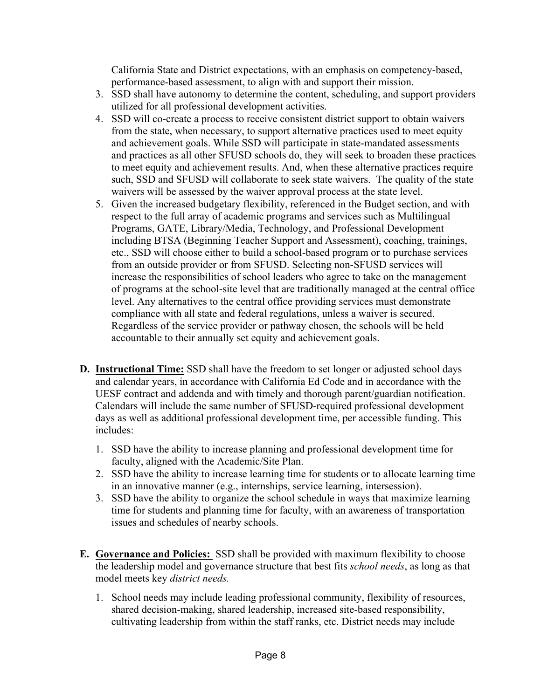California State and District expectations, with an emphasis on competency-based, performance-based assessment, to align with and support their mission.

- 3. SSD shall have autonomy to determine the content, scheduling, and support providers utilized for all professional development activities.
- 4. SSD will co-create a process to receive consistent district support to obtain waivers from the state, when necessary, to support alternative practices used to meet equity and achievement goals. While SSD will participate in state-mandated assessments and practices as all other SFUSD schools do, they will seek to broaden these practices to meet equity and achievement results. And, when these alternative practices require such, SSD and SFUSD will collaborate to seek state waivers. The quality of the state waivers will be assessed by the waiver approval process at the state level.
- 5. Given the increased budgetary flexibility, referenced in the Budget section, and with respect to the full array of academic programs and services such as Multilingual Programs, GATE, Library/Media, Technology, and Professional Development including BTSA (Beginning Teacher Support and Assessment), coaching, trainings, etc., SSD will choose either to build a school-based program or to purchase services from an outside provider or from SFUSD. Selecting non-SFUSD services will increase the responsibilities of school leaders who agree to take on the management of programs at the school-site level that are traditionally managed at the central office level. Any alternatives to the central office providing services must demonstrate compliance with all state and federal regulations, unless a waiver is secured. Regardless of the service provider or pathway chosen, the schools will be held accountable to their annually set equity and achievement goals.
- **D. Instructional Time:** SSD shall have the freedom to set longer or adjusted school days and calendar years, in accordance with California Ed Code and in accordance with the UESF contract and addenda and with timely and thorough parent/guardian notification. Calendars will include the same number of SFUSD-required professional development days as well as additional professional development time, per accessible funding. This includes:
	- 1. SSD have the ability to increase planning and professional development time for faculty, aligned with the Academic/Site Plan.
	- 2. SSD have the ability to increase learning time for students or to allocate learning time in an innovative manner (e.g., internships, service learning, intersession).
	- 3. SSD have the ability to organize the school schedule in ways that maximize learning time for students and planning time for faculty, with an awareness of transportation issues and schedules of nearby schools.
- **E. Governance and Policies:** SSD shall be provided with maximum flexibility to choose the leadership model and governance structure that best fits *school needs*, as long as that model meets key *district needs.*
	- 1. School needs may include leading professional community, flexibility of resources, shared decision-making, shared leadership, increased site-based responsibility, cultivating leadership from within the staff ranks, etc. District needs may include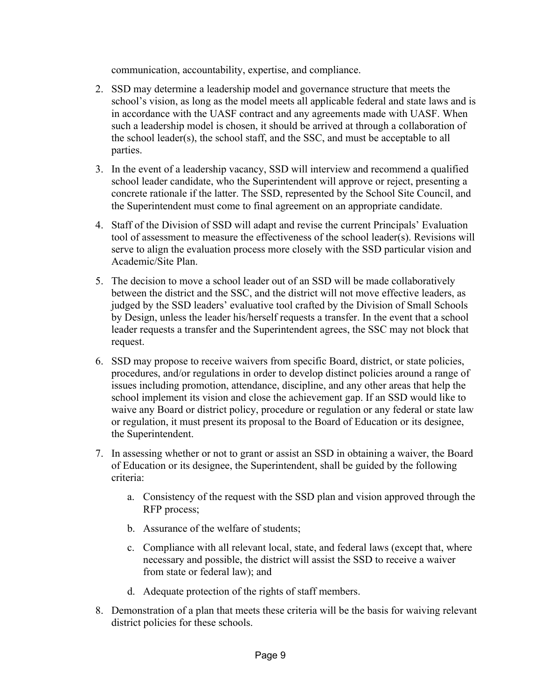communication, accountability, expertise, and compliance.

- 2. SSD may determine a leadership model and governance structure that meets the school's vision, as long as the model meets all applicable federal and state laws and is in accordance with the UASF contract and any agreements made with UASF. When such a leadership model is chosen, it should be arrived at through a collaboration of the school leader(s), the school staff, and the SSC, and must be acceptable to all parties.
- 3. In the event of a leadership vacancy, SSD will interview and recommend a qualified school leader candidate, who the Superintendent will approve or reject, presenting a concrete rationale if the latter. The SSD, represented by the School Site Council, and the Superintendent must come to final agreement on an appropriate candidate.
- 4. Staff of the Division of SSD will adapt and revise the current Principals' Evaluation tool of assessment to measure the effectiveness of the school leader(s). Revisions will serve to align the evaluation process more closely with the SSD particular vision and Academic/Site Plan.
- 5. The decision to move a school leader out of an SSD will be made collaboratively between the district and the SSC, and the district will not move effective leaders, as judged by the SSD leaders' evaluative tool crafted by the Division of Small Schools by Design, unless the leader his/herself requests a transfer. In the event that a school leader requests a transfer and the Superintendent agrees, the SSC may not block that request.
- 6. SSD may propose to receive waivers from specific Board, district, or state policies, procedures, and/or regulations in order to develop distinct policies around a range of issues including promotion, attendance, discipline, and any other areas that help the school implement its vision and close the achievement gap. If an SSD would like to waive any Board or district policy, procedure or regulation or any federal or state law or regulation, it must present its proposal to the Board of Education or its designee, the Superintendent.
- 7. In assessing whether or not to grant or assist an SSD in obtaining a waiver, the Board of Education or its designee, the Superintendent, shall be guided by the following criteria:
	- a. Consistency of the request with the SSD plan and vision approved through the RFP process;
	- b. Assurance of the welfare of students;
	- c. Compliance with all relevant local, state, and federal laws (except that, where necessary and possible, the district will assist the SSD to receive a waiver from state or federal law); and
	- d. Adequate protection of the rights of staff members.
- 8. Demonstration of a plan that meets these criteria will be the basis for waiving relevant district policies for these schools.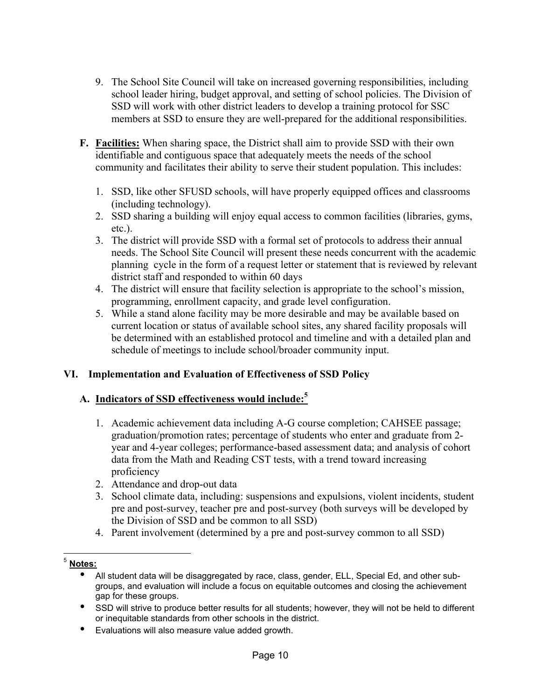- 9. The School Site Council will take on increased governing responsibilities, including school leader hiring, budget approval, and setting of school policies. The Division of SSD will work with other district leaders to develop a training protocol for SSC members at SSD to ensure they are well-prepared for the additional responsibilities.
- **F. Facilities:** When sharing space, the District shall aim to provide SSD with their own identifiable and contiguous space that adequately meets the needs of the school community and facilitates their ability to serve their student population. This includes:
	- 1. SSD, like other SFUSD schools, will have properly equipped offices and classrooms (including technology).
	- 2. SSD sharing a building will enjoy equal access to common facilities (libraries, gyms, etc.).
	- 3. The district will provide SSD with a formal set of protocols to address their annual needs. The School Site Council will present these needs concurrent with the academic planning cycle in the form of a request letter or statement that is reviewed by relevant district staff and responded to within 60 days
	- 4. The district will ensure that facility selection is appropriate to the school's mission, programming, enrollment capacity, and grade level configuration.
	- 5. While a stand alone facility may be more desirable and may be available based on current location or status of available school sites, any shared facility proposals will be determined with an established protocol and timeline and with a detailed plan and schedule of meetings to include school/broader community input.

# **VI. Implementation and Evaluation of Effectiveness of SSD Policy**

# **A. Indicators of SSD effectiveness would include:5**

- 1. Academic achievement data including A-G course completion; CAHSEE passage; graduation/promotion rates; percentage of students who enter and graduate from 2 year and 4-year colleges; performance-based assessment data; and analysis of cohort data from the Math and Reading CST tests, with a trend toward increasing proficiency
- 2. Attendance and drop-out data
- 3. School climate data, including: suspensions and expulsions, violent incidents, student pre and post-survey, teacher pre and post-survey (both surveys will be developed by the Division of SSD and be common to all SSD)
- 4. Parent involvement (determined by a pre and post-survey common to all SSD)

• Evaluations will also measure value added growth.

<sup>5</sup> **Notes:**

<sup>•</sup> All student data will be disaggregated by race, class, gender, ELL, Special Ed, and other subgroups, and evaluation will include a focus on equitable outcomes and closing the achievement gap for these groups.

<sup>•</sup> SSD will strive to produce better results for all students; however, they will not be held to different or inequitable standards from other schools in the district.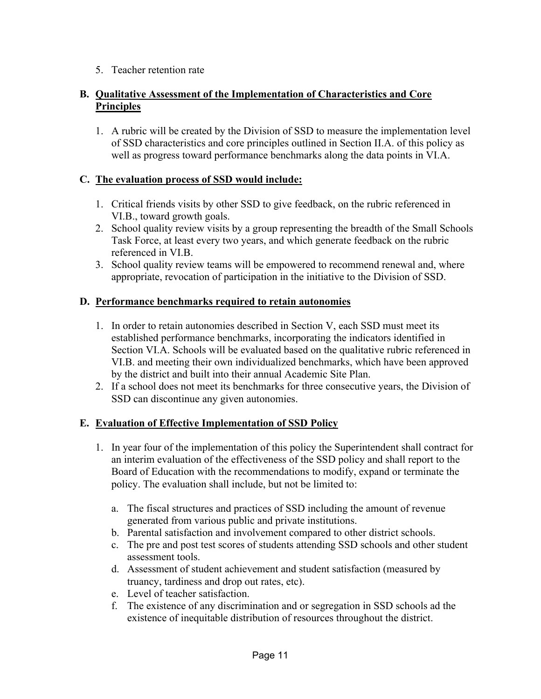5. Teacher retention rate

#### **B. Qualitative Assessment of the Implementation of Characteristics and Core Principles**

1. A rubric will be created by the Division of SSD to measure the implementation level of SSD characteristics and core principles outlined in Section II.A. of this policy as well as progress toward performance benchmarks along the data points in VI.A.

#### **C. The evaluation process of SSD would include:**

- 1. Critical friends visits by other SSD to give feedback, on the rubric referenced in VI.B., toward growth goals.
- 2. School quality review visits by a group representing the breadth of the Small Schools Task Force, at least every two years, and which generate feedback on the rubric referenced in VI.B.
- 3. School quality review teams will be empowered to recommend renewal and, where appropriate, revocation of participation in the initiative to the Division of SSD.

#### **D. Performance benchmarks required to retain autonomies**

- 1. In order to retain autonomies described in Section V, each SSD must meet its established performance benchmarks, incorporating the indicators identified in Section VI.A. Schools will be evaluated based on the qualitative rubric referenced in VI.B. and meeting their own individualized benchmarks, which have been approved by the district and built into their annual Academic Site Plan.
- 2. If a school does not meet its benchmarks for three consecutive years, the Division of SSD can discontinue any given autonomies.

#### **E. Evaluation of Effective Implementation of SSD Policy**

- 1. In year four of the implementation of this policy the Superintendent shall contract for an interim evaluation of the effectiveness of the SSD policy and shall report to the Board of Education with the recommendations to modify, expand or terminate the policy. The evaluation shall include, but not be limited to:
	- a. The fiscal structures and practices of SSD including the amount of revenue generated from various public and private institutions.
	- b. Parental satisfaction and involvement compared to other district schools.
	- c. The pre and post test scores of students attending SSD schools and other student assessment tools.
	- d. Assessment of student achievement and student satisfaction (measured by truancy, tardiness and drop out rates, etc).
	- e. Level of teacher satisfaction.
	- f. The existence of any discrimination and or segregation in SSD schools ad the existence of inequitable distribution of resources throughout the district.